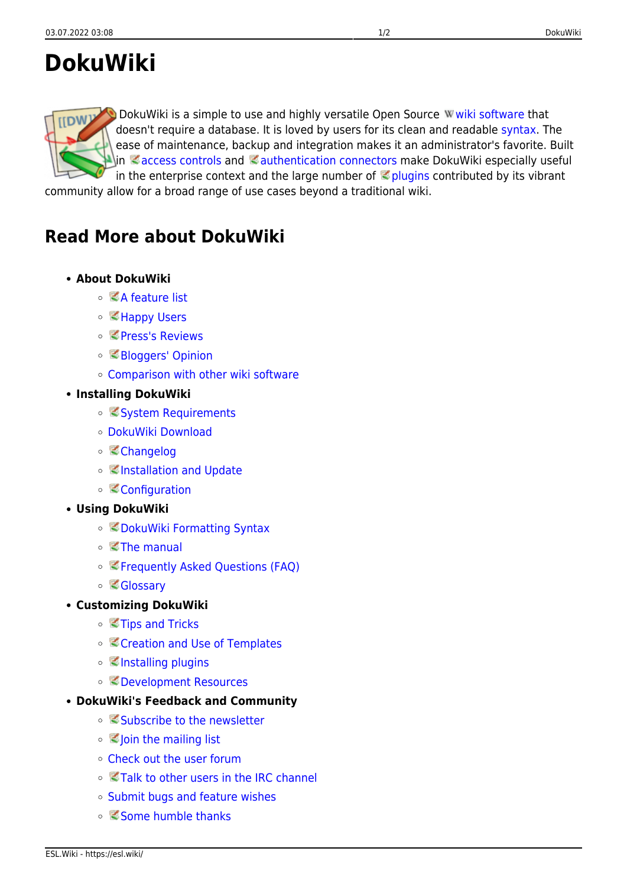# **DokuWiki**

DokuWiki is a simple to use and highly versatile Open Source W[wiki software](https://en.wikipedia.org/wiki/wiki software) that doesn't require a database. It is loved by users for its clean and readable [syntax](https://esl.wiki/en/wiki/syntax). The ease of maintenance, backup and integration makes it an administrator's favorite. Built  $\ln$  [access controls](https://www.dokuwiki.org/acl) and  $\leq$  [authentication connectors](https://www.dokuwiki.org/auth) make DokuWiki especially useful in the enterprise context and the large number of  $\leq$  [plugins](https://www.dokuwiki.org/plugins) contributed by its vibrant

community allow for a broad range of use cases beyond a traditional wiki.

## **Read More about DokuWiki**

#### **About DokuWiki**

- [A feature list](https://www.dokuwiki.org/features)
- <[Happy Users](https://www.dokuwiki.org/users)
- <[Press's Reviews](https://www.dokuwiki.org/press)
- [Bloggers' Opinion](https://www.dokuwiki.org/blogroll)
- [Comparison with other wiki software](https://www.wikimatrix.org/show/DokuWiki)
- **Installing DokuWiki**
	- [System Requirements](https://www.dokuwiki.org/requirements)
	- [DokuWiki Download](https://download.dokuwiki.org/)
	- [Changelog](https://www.dokuwiki.org/changes)
	- o **[Installation and Update](https://www.dokuwiki.org/Install)**
	- [Configuration](https://www.dokuwiki.org/config)
- **Using DokuWiki**
	- [DokuWiki Formatting Syntax](https://www.dokuwiki.org/syntax)
	- $\circ$   $\leq$  [The manual](https://www.dokuwiki.org/manual)
	- [Frequently Asked Questions \(FAQ\)](https://www.dokuwiki.org/FAQ)
	- [Glossary](https://www.dokuwiki.org/glossary)
- **Customizing DokuWiki**
	- [Tips and Tricks](https://www.dokuwiki.org/tips)
	- [Creation and Use of Templates](https://www.dokuwiki.org/Template)
	- **[Installing plugins](https://www.dokuwiki.org/plugins)**
	- [Development Resources](https://www.dokuwiki.org/development)
- **DokuWiki's Feedback and Community**
	- <[Subscribe to the newsletter](https://www.dokuwiki.org/newsletter)
	- **Solician** the mailing list
	- [Check out the user forum](https://forum.dokuwiki.org)
	- **[Talk to other users in the IRC channel](https://www.dokuwiki.org/irc)**
	- [Submit bugs and feature wishes](https://github.com/splitbrain/dokuwiki/issues)
	- [Some humble thanks](https://www.dokuwiki.org/thanks)